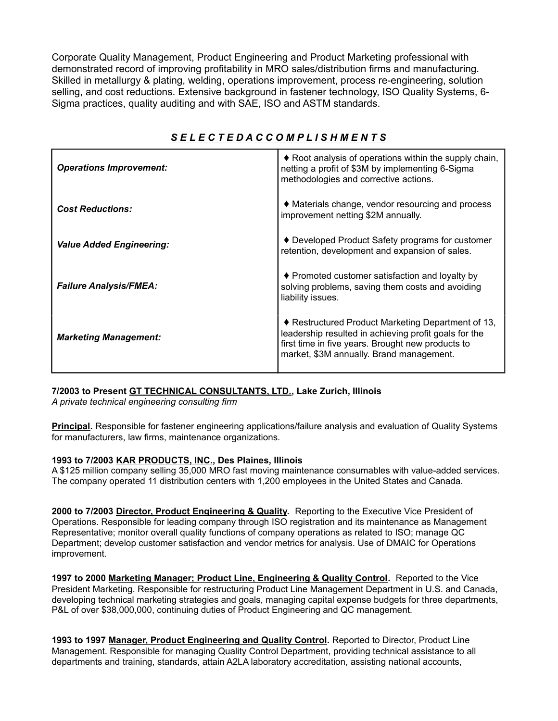Corporate Quality Management, Product Engineering and Product Marketing professional with demonstrated record of improving profitability in MRO sales/distribution firms and manufacturing. Skilled in metallurgy & plating, welding, operations improvement, process re-engineering, solution selling, and cost reductions. Extensive background in fastener technology, ISO Quality Systems, 6- Sigma practices, quality auditing and with SAE, ISO and ASTM standards.

| <b>Operations Improvement:</b>  | ♦ Root analysis of operations within the supply chain,<br>netting a profit of \$3M by implementing 6-Sigma<br>methodologies and corrective actions.                                                          |
|---------------------------------|--------------------------------------------------------------------------------------------------------------------------------------------------------------------------------------------------------------|
| <b>Cost Reductions:</b>         | ♦ Materials change, vendor resourcing and process<br>improvement netting \$2M annually.                                                                                                                      |
| <b>Value Added Engineering:</b> | ♦ Developed Product Safety programs for customer<br>retention, development and expansion of sales.                                                                                                           |
| <b>Failure Analysis/FMEA:</b>   | $\blacklozenge$ Promoted customer satisfaction and loyalty by<br>solving problems, saving them costs and avoiding<br>liability issues.                                                                       |
| <b>Marketing Management:</b>    | ♦ Restructured Product Marketing Department of 13,<br>leadership resulted in achieving profit goals for the<br>first time in five years. Brought new products to<br>market, \$3M annually. Brand management. |

# *S E L E C T E D A C C O M P L I S H M E N T S*

## **7/2003 to Present GT TECHNICAL CONSULTANTS, LTD., Lake Zurich, Illinois**

*A private technical engineering consulting firm*

**Principal.** Responsible for fastener engineering applications/failure analysis and evaluation of Quality Systems for manufacturers, law firms, maintenance organizations.

## **1993 to 7/2003 KAR PRODUCTS, INC., Des Plaines, Illinois**

A \$125 million company selling 35,000 MRO fast moving maintenance consumables with value-added services. The company operated 11 distribution centers with 1,200 employees in the United States and Canada.

**2000 to 7/2003 Director, Product Engineering & Quality.** Reporting to the Executive Vice President of Operations. Responsible for leading company through ISO registration and its maintenance as Management Representative; monitor overall quality functions of company operations as related to ISO; manage QC Department; develop customer satisfaction and vendor metrics for analysis. Use of DMAIC for Operations improvement.

**1997 to 2000 Marketing Manager; Product Line, Engineering & Quality Control.** Reported to the Vice President Marketing. Responsible for restructuring Product Line Management Department in U.S. and Canada, developing technical marketing strategies and goals, managing capital expense budgets for three departments, P&L of over \$38,000,000, continuing duties of Product Engineering and QC management.

**1993 to 1997 Manager, Product Engineering and Quality Control.** Reported to Director, Product Line Management. Responsible for managing Quality Control Department, providing technical assistance to all departments and training, standards, attain A2LA laboratory accreditation, assisting national accounts,